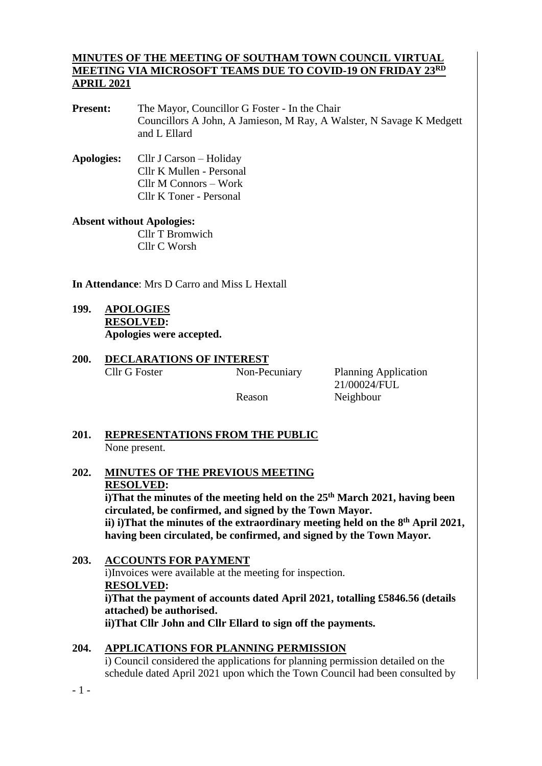#### **MINUTES OF THE MEETING OF SOUTHAM TOWN COUNCIL VIRTUAL MEETING VIA MICROSOFT TEAMS DUE TO COVID-19 ON FRIDAY 23RD APRIL 2021**

- **Present:** The Mayor, Councillor G Foster In the Chair Councillors A John, A Jamieson, M Ray, A Walster, N Savage K Medgett and L Ellard
- **Apologies:** Cllr J Carson Holiday Cllr K Mullen - Personal Cllr M Connors – Work Cllr K Toner - Personal

### **Absent without Apologies:** Cllr T Bromwich

Cllr C Worsh

**In Attendance**: Mrs D Carro and Miss L Hextall

- **199. APOLOGIES RESOLVED: Apologies were accepted.**
- **200. DECLARATIONS OF INTEREST** Cllr G Foster Non-Pecuniary Planning Application

 21/00024/FUL Reason Neighbour

#### **201. REPRESENTATIONS FROM THE PUBLIC** None present.

**202. MINUTES OF THE PREVIOUS MEETING RESOLVED:**

**i)That the minutes of the meeting held on the 25 th March 2021, having been circulated, be confirmed, and signed by the Town Mayor. ii) i)That the minutes of the extraordinary meeting held on the 8 th April 2021, having been circulated, be confirmed, and signed by the Town Mayor.**

#### **203. ACCOUNTS FOR PAYMENT**

i)Invoices were available at the meeting for inspection. **RESOLVED: i)That the payment of accounts dated April 2021, totalling £5846.56 (details attached) be authorised. ii)That Cllr John and Cllr Ellard to sign off the payments.**

## **204. APPLICATIONS FOR PLANNING PERMISSION**

i) Council considered the applications for planning permission detailed on the schedule dated April 2021 upon which the Town Council had been consulted by

- 1 -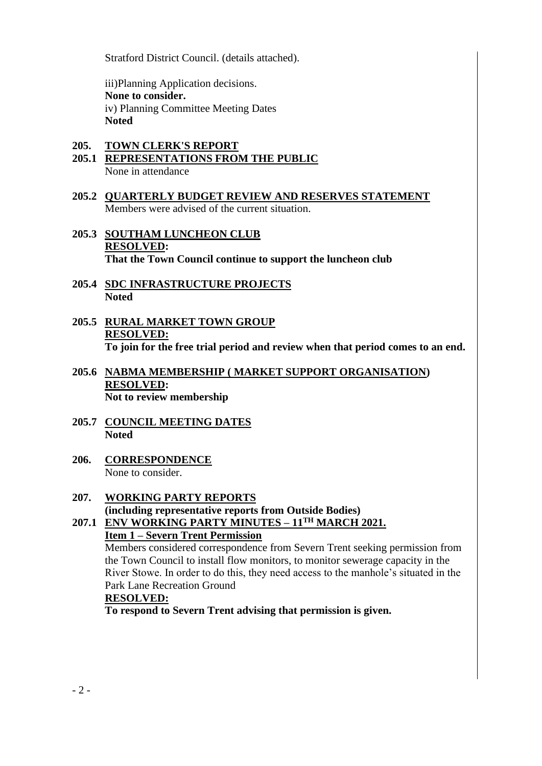Stratford District Council. (details attached).

iii)Planning Application decisions. **None to consider.** iv) Planning Committee Meeting Dates **Noted**

## **205. TOWN CLERK'S REPORT**

- **205.1 REPRESENTATIONS FROM THE PUBLIC** None in attendance
- **205.2 QUARTERLY BUDGET REVIEW AND RESERVES STATEMENT** Members were advised of the current situation.
- **205.3 SOUTHAM LUNCHEON CLUB RESOLVED: That the Town Council continue to support the luncheon club**
- **205.4 SDC INFRASTRUCTURE PROJECTS Noted**
- **205.5 RURAL MARKET TOWN GROUP RESOLVED: To join for the free trial period and review when that period comes to an end.**
- **205.6 NABMA MEMBERSHIP ( MARKET SUPPORT ORGANISATION) RESOLVED: Not to review membership**
- **205.7 COUNCIL MEETING DATES Noted**
- **206. CORRESPONDENCE** None to consider.

#### **207. WORKING PARTY REPORTS (including representative reports from Outside Bodies) 207.1 ENV WORKING PARTY MINUTES – 11TH MARCH 2021.**

# **Item 1 – Severn Trent Permission**

Members considered correspondence from Severn Trent seeking permission from the Town Council to install flow monitors, to monitor sewerage capacity in the River Stowe. In order to do this, they need access to the manhole's situated in the Park Lane Recreation Ground

#### **RESOLVED:**

**To respond to Severn Trent advising that permission is given.**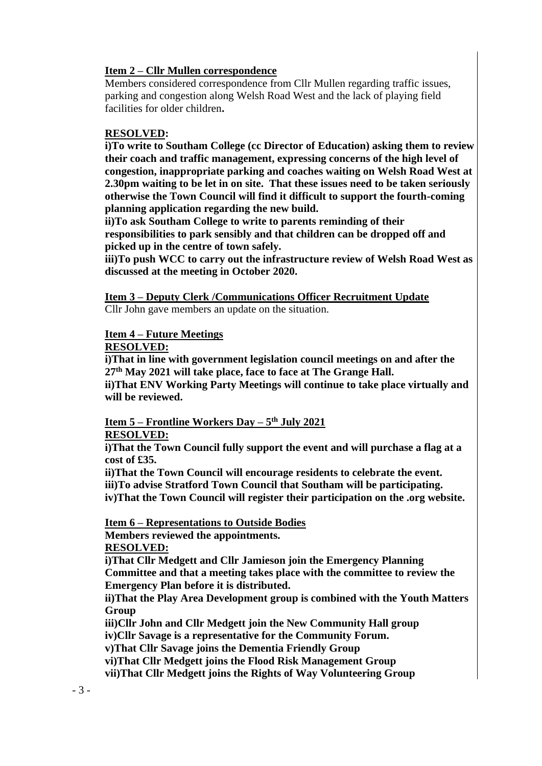#### **Item 2 – Cllr Mullen correspondence**

Members considered correspondence from Cllr Mullen regarding traffic issues, parking and congestion along Welsh Road West and the lack of playing field facilities for older children**.**

#### **RESOLVED:**

**i)To write to Southam College (cc Director of Education) asking them to review their coach and traffic management, expressing concerns of the high level of congestion, inappropriate parking and coaches waiting on Welsh Road West at 2.30pm waiting to be let in on site. That these issues need to be taken seriously otherwise the Town Council will find it difficult to support the fourth-coming planning application regarding the new build.**

**ii)To ask Southam College to write to parents reminding of their responsibilities to park sensibly and that children can be dropped off and picked up in the centre of town safely.** 

**iii)To push WCC to carry out the infrastructure review of Welsh Road West as discussed at the meeting in October 2020.** 

## **Item 3 – Deputy Clerk /Communications Officer Recruitment Update**

Cllr John gave members an update on the situation.

#### **Item 4 – Future Meetings**

#### **RESOLVED:**

**i)That in line with government legislation council meetings on and after the 27th May 2021 will take place, face to face at The Grange Hall.**

**ii)That ENV Working Party Meetings will continue to take place virtually and will be reviewed.** 

#### **Item 5 – Frontline Workers Day – 5 th July 2021 RESOLVED:**

**i)That the Town Council fully support the event and will purchase a flag at a cost of £35.**

**ii)That the Town Council will encourage residents to celebrate the event. iii)To advise Stratford Town Council that Southam will be participating. iv)That the Town Council will register their participation on the .org website.**

**Item 6 – Representations to Outside Bodies Members reviewed the appointments.**

**RESOLVED:**

**i)That Cllr Medgett and Cllr Jamieson join the Emergency Planning Committee and that a meeting takes place with the committee to review the Emergency Plan before it is distributed.**

**ii)That the Play Area Development group is combined with the Youth Matters Group**

**iii)Cllr John and Cllr Medgett join the New Community Hall group**

**iv)Cllr Savage is a representative for the Community Forum.**

**v)That Cllr Savage joins the Dementia Friendly Group**

**vi)That Cllr Medgett joins the Flood Risk Management Group**

**vii)That Cllr Medgett joins the Rights of Way Volunteering Group**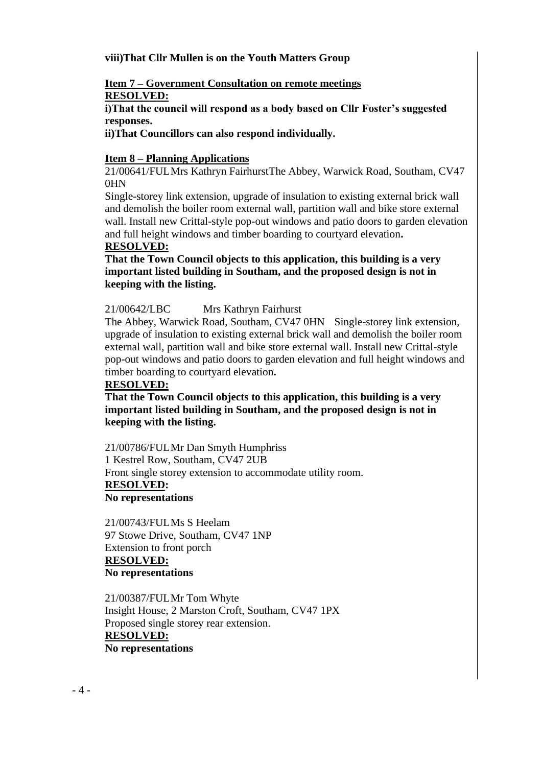#### **viii)That Cllr Mullen is on the Youth Matters Group**

#### **Item 7 – Government Consultation on remote meetings RESOLVED:**

**i)That the council will respond as a body based on Cllr Foster's suggested responses.**

**ii)That Councillors can also respond individually.**

#### **Item 8 – Planning Applications**

21/00641/FULMrs Kathryn FairhurstThe Abbey, Warwick Road, Southam, CV47 0HN

Single-storey link extension, upgrade of insulation to existing external brick wall and demolish the boiler room external wall, partition wall and bike store external wall. Install new Crittal-style pop-out windows and patio doors to garden elevation and full height windows and timber boarding to courtyard elevation**.**

#### **RESOLVED:**

**That the Town Council objects to this application, this building is a very important listed building in Southam, and the proposed design is not in keeping with the listing.** 

#### 21/00642/LBC Mrs Kathryn Fairhurst

The Abbey, Warwick Road, Southam, CV47 0HN Single-storey link extension, upgrade of insulation to existing external brick wall and demolish the boiler room external wall, partition wall and bike store external wall. Install new Crittal-style pop-out windows and patio doors to garden elevation and full height windows and timber boarding to courtyard elevation**.**

#### **RESOLVED:**

**That the Town Council objects to this application, this building is a very important listed building in Southam, and the proposed design is not in keeping with the listing.**

21/00786/FULMr Dan Smyth Humphriss 1 Kestrel Row, Southam, CV47 2UB Front single storey extension to accommodate utility room. **RESOLVED: No representations**

21/00743/FULMs S Heelam 97 Stowe Drive, Southam, CV47 1NP Extension to front porch **RESOLVED: No representations**

21/00387/FULMr Tom Whyte Insight House, 2 Marston Croft, Southam, CV47 1PX Proposed single storey rear extension. **RESOLVED: No representations**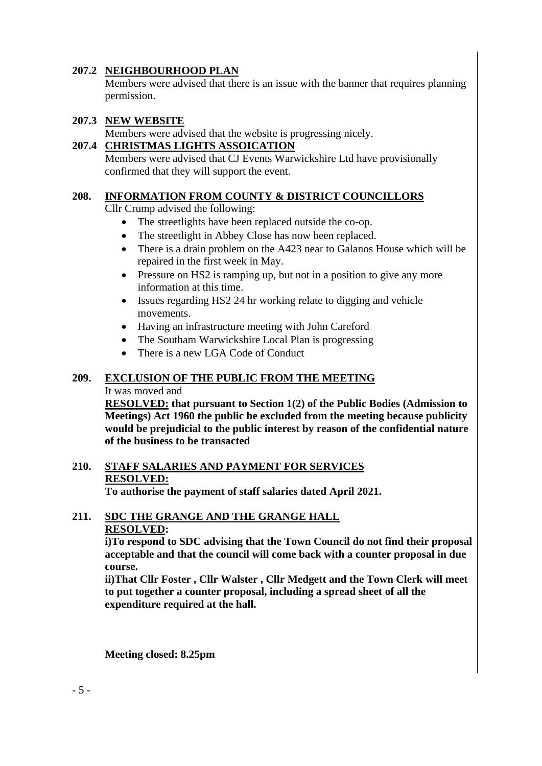#### **207.2 NEIGHBOURHOOD PLAN**

Members were advised that there is an issue with the banner that requires planning permission.

#### **207.3 NEW WEBSITE**

Members were advised that the website is progressing nicely.

#### **207.4 CHRISTMAS LIGHTS ASSOICATION**

Members were advised that CJ Events Warwickshire Ltd have provisionally confirmed that they will support the event.

#### **208. INFORMATION FROM COUNTY & DISTRICT COUNCILLORS**

Cllr Crump advised the following:

- The streetlights have been replaced outside the co-op.
- The streetlight in Abbey Close has now been replaced.
- There is a drain problem on the A423 near to Galanos House which will be repaired in the first week in May.
- Pressure on HS2 is ramping up, but not in a position to give any more information at this time.
- Issues regarding HS2 24 hr working relate to digging and vehicle movements.
- Having an infrastructure meeting with John Careford
- The Southam Warwickshire Local Plan is progressing
- There is a new LGA Code of Conduct

#### **209. EXCLUSION OF THE PUBLIC FROM THE MEETING**

#### It was moved and

**RESOLVED: that pursuant to Section 1(2) of the Public Bodies (Admission to Meetings) Act 1960 the public be excluded from the meeting because publicity would be prejudicial to the public interest by reason of the confidential nature of the business to be transacted**

## **210. STAFF SALARIES AND PAYMENT FOR SERVICES RESOLVED:**

**To authorise the payment of staff salaries dated April 2021.**

#### **211. SDC THE GRANGE AND THE GRANGE HALL RESOLVED:**

**i)To respond to SDC advising that the Town Council do not find their proposal acceptable and that the council will come back with a counter proposal in due course.**

**ii)That Cllr Foster , Cllr Walster , Cllr Medgett and the Town Clerk will meet to put together a counter proposal, including a spread sheet of all the expenditure required at the hall.**

**Meeting closed: 8.25pm**